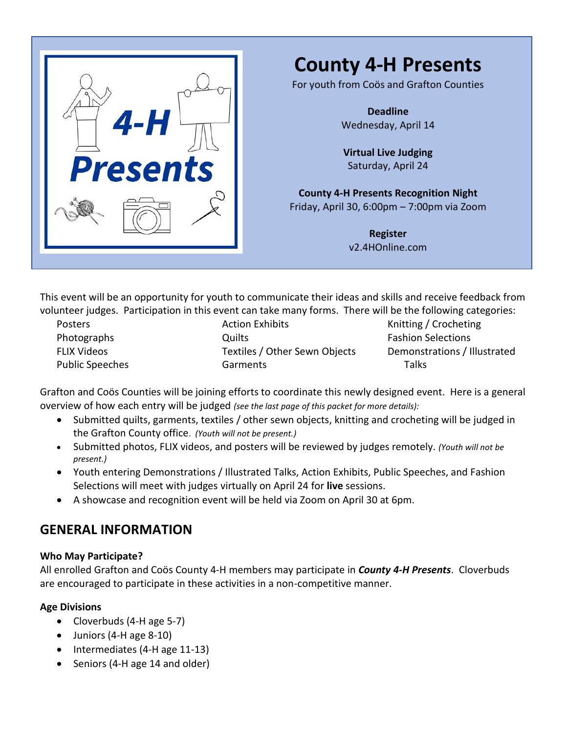

# **County 4-H Presents**

For youth from Coös and Grafton Counties

**Deadline** Wednesday, April 14

**Virtual Live Judging** Saturday, April 24

**County 4-H Presents Recognition Night** Friday, April 30, 6:00pm – 7:00pm via Zoom

> **Register** v2.4HOnline.com

This event will be an opportunity for youth to communicate their ideas and skills and receive feedback from volunteer judges. Participation in this event can take many forms. There will be the following categories:

Posters Photographs FLIX Videos Public Speeches Action Exhibits **Quilts** Textiles / Other Sewn Objects Garments

Knitting / Crocheting Fashion Selections Demonstrations / Illustrated Talks

Grafton and Coös Counties will be joining efforts to coordinate this newly designed event. Here is a general overview of how each entry will be judged *(see the last page of this packet for more details):*

- Submitted quilts, garments, textiles / other sewn objects, knitting and crocheting will be judged in the Grafton County office. *(Youth will not be present.)*
- Submitted photos, FLIX videos, and posters will be reviewed by judges remotely. *(Youth will not be present.)*
- Youth entering Demonstrations / Illustrated Talks, Action Exhibits, Public Speeches, and Fashion Selections will meet with judges virtually on April 24 for **live** sessions.
- A showcase and recognition event will be held via Zoom on April 30 at 6pm.

### **GENERAL INFORMATION**

### **Who May Participate?**

All enrolled Grafton and Coös County 4-H members may participate in *County 4-H Presents*. Cloverbuds are encouraged to participate in these activities in a non-competitive manner.

### **Age Divisions**

- Cloverbuds (4-H age 5-7)
- Juniors (4-H age 8-10)
- Intermediates (4-H age 11-13)
- Seniors (4-H age 14 and older)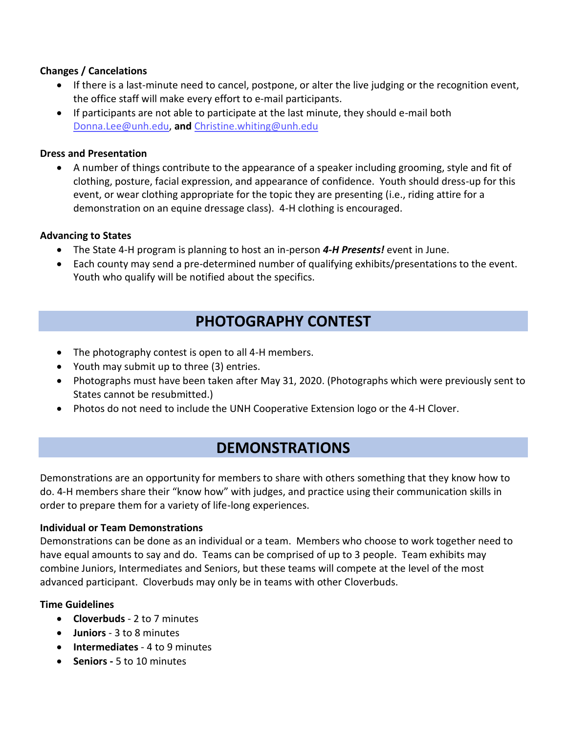### **Changes / Cancelations**

- If there is a last-minute need to cancel, postpone, or alter the live judging or the recognition event, the office staff will make every effort to e-mail participants.
- If participants are not able to participate at the last minute, they should e-mail both [Donna.Lee@unh.edu,](mailto:Donna.Lee@unh.edu) **and** [Christine.whiting@unh.edu](mailto:Christine.whiting@unh.edu)

#### **Dress and Presentation**

• A number of things contribute to the appearance of a speaker including grooming, style and fit of clothing, posture, facial expression, and appearance of confidence. Youth should dress-up for this event, or wear clothing appropriate for the topic they are presenting (i.e., riding attire for a demonstration on an equine dressage class). 4-H clothing is encouraged.

#### **Advancing to States**

- The State 4-H program is planning to host an in-person *4-H Presents!* event in June.
- Each county may send a pre-determined number of qualifying exhibits/presentations to the event. Youth who qualify will be notified about the specifics.

# **PHOTOGRAPHY CONTEST**

- The photography contest is open to all 4-H members.
- Youth may submit up to three (3) entries.
- Photographs must have been taken after May 31, 2020. (Photographs which were previously sent to States cannot be resubmitted.)
- Photos do not need to include the UNH Cooperative Extension logo or the 4-H Clover.

# **DEMONSTRATIONS**

Demonstrations are an opportunity for members to share with others something that they know how to do. 4-H members share their "know how" with judges, and practice using their communication skills in order to prepare them for a variety of life-long experiences.

#### **Individual or Team Demonstrations**

Demonstrations can be done as an individual or a team. Members who choose to work together need to have equal amounts to say and do. Teams can be comprised of up to 3 people. Team exhibits may combine Juniors, Intermediates and Seniors, but these teams will compete at the level of the most advanced participant. Cloverbuds may only be in teams with other Cloverbuds.

#### **Time Guidelines**

- **Cloverbuds**  2 to 7 minutes
- **Juniors** 3 to 8 minutes
- **Intermediates** 4 to 9 minutes
- **Seniors -** 5 to 10 minutes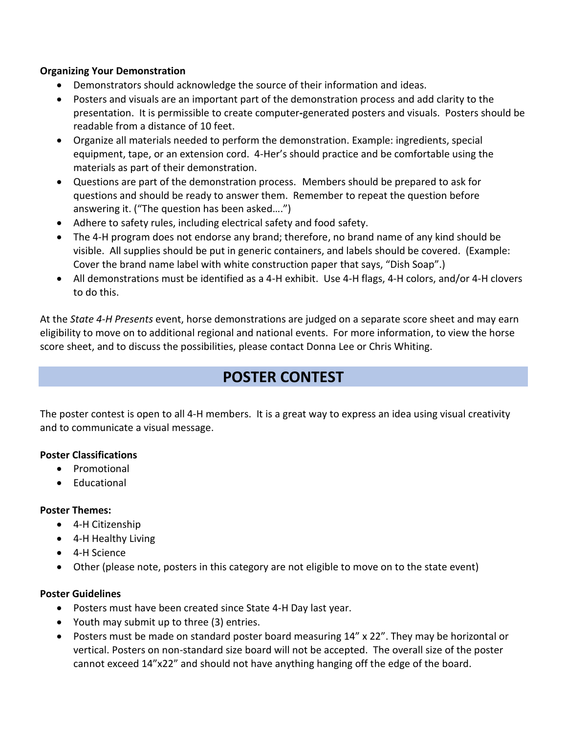#### **Organizing Your Demonstration**

- Demonstrators should acknowledge the source of their information and ideas.
- Posters and visuals are an important part of the demonstration process and add clarity to the presentation. It is permissible to create computer**-**generated posters and visuals. Posters should be readable from a distance of 10 feet.
- Organize all materials needed to perform the demonstration. Example: ingredients, special equipment, tape, or an extension cord. 4-Her's should practice and be comfortable using the materials as part of their demonstration.
- Questions are part of the demonstration process. Members should be prepared to ask for questions and should be ready to answer them. Remember to repeat the question before answering it. ("The question has been asked….")
- Adhere to safety rules, including electrical safety and food safety.
- The 4-H program does not endorse any brand; therefore, no brand name of any kind should be visible. All supplies should be put in generic containers, and labels should be covered. (Example: Cover the brand name label with white construction paper that says, "Dish Soap".)
- All demonstrations must be identified as a 4-H exhibit. Use 4-H flags, 4-H colors, and/or 4-H clovers to do this.

At the *State 4-H Presents* event, horse demonstrations are judged on a separate score sheet and may earn eligibility to move on to additional regional and national events. For more information, to view the horse score sheet, and to discuss the possibilities, please contact Donna Lee or Chris Whiting.

# **POSTER CONTEST**

The poster contest is open to all 4-H members. It is a great way to express an idea using visual creativity and to communicate a visual message.

### **Poster Classifications**

- Promotional
- Educational

### **Poster Themes:**

- 4-H Citizenship
- 4-H Healthy Living
- 4-H Science
- Other (please note, posters in this category are not eligible to move on to the state event)

### **Poster Guidelines**

- Posters must have been created since State 4-H Day last year.
- Youth may submit up to three (3) entries.
- Posters must be made on standard poster board measuring 14" x 22". They may be horizontal or vertical. Posters on non-standard size board will not be accepted. The overall size of the poster cannot exceed 14"x22" and should not have anything hanging off the edge of the board.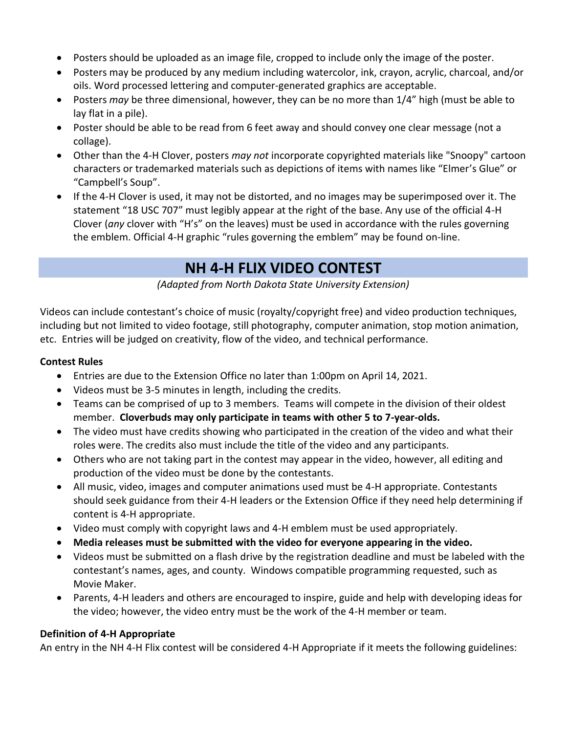- Posters should be uploaded as an image file, cropped to include only the image of the poster.
- Posters may be produced by any medium including watercolor, ink, crayon, acrylic, charcoal, and/or oils. Word processed lettering and computer-generated graphics are acceptable.
- Posters *may* be three dimensional, however, they can be no more than 1/4" high (must be able to lay flat in a pile).
- Poster should be able to be read from 6 feet away and should convey one clear message (not a collage).
- Other than the 4-H Clover, posters *may not* incorporate copyrighted materials like "Snoopy" cartoon characters or trademarked materials such as depictions of items with names like "Elmer's Glue" or "Campbell's Soup".
- If the 4-H Clover is used, it may not be distorted, and no images may be superimposed over it. The statement "18 USC 707" must legibly appear at the right of the base. Any use of the official 4-H Clover (*any* clover with "H's" on the leaves) must be used in accordance with the rules governing the emblem. Official 4-H graphic "rules governing the emblem" may be found on-line.

# **NH 4-H FLIX VIDEO CONTEST**

*(Adapted from North Dakota State University Extension)*

Videos can include contestant's choice of music (royalty/copyright free) and video production techniques, including but not limited to video footage, still photography, computer animation, stop motion animation, etc. Entries will be judged on creativity, flow of the video, and technical performance.

### **Contest Rules**

- Entries are due to the Extension Office no later than 1:00pm on April 14, 2021.
- Videos must be 3-5 minutes in length, including the credits.
- Teams can be comprised of up to 3 members. Teams will compete in the division of their oldest member. **Cloverbuds may only participate in teams with other 5 to 7-year-olds.**
- The video must have credits showing who participated in the creation of the video and what their roles were. The credits also must include the title of the video and any participants.
- Others who are not taking part in the contest may appear in the video, however, all editing and production of the video must be done by the contestants.
- All music, video, images and computer animations used must be 4-H appropriate. Contestants should seek guidance from their 4-H leaders or the Extension Office if they need help determining if content is 4-H appropriate.
- Video must comply with copyright laws and 4-H emblem must be used appropriately.
- **Media releases must be submitted with the video for everyone appearing in the video.**
- Videos must be submitted on a flash drive by the registration deadline and must be labeled with the contestant's names, ages, and county. Windows compatible programming requested, such as Movie Maker.
- Parents, 4-H leaders and others are encouraged to inspire, guide and help with developing ideas for the video; however, the video entry must be the work of the 4-H member or team.

### **Definition of 4-H Appropriate**

An entry in the NH 4-H Flix contest will be considered 4-H Appropriate if it meets the following guidelines: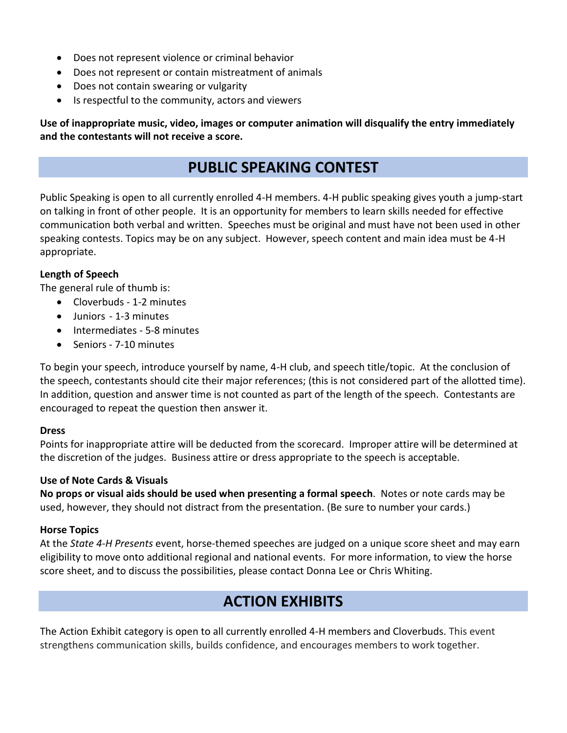- Does not represent violence or criminal behavior
- Does not represent or contain mistreatment of animals
- Does not contain swearing or vulgarity
- Is respectful to the community, actors and viewers

**Use of inappropriate music, video, images or computer animation will disqualify the entry immediately and the contestants will not receive a score.**

## **PUBLIC SPEAKING CONTEST**

Public Speaking is open to all currently enrolled 4-H members. 4-H public speaking gives youth a jump-start on talking in front of other people. It is an opportunity for members to learn skills needed for effective communication both verbal and written. Speeches must be original and must have not been used in other speaking contests. Topics may be on any subject. However, speech content and main idea must be 4-H appropriate.

### **Length of Speech**

The general rule of thumb is:

- Cloverbuds 1-2 minutes
- Juniors 1-3 minutes
- Intermediates 5-8 minutes
- Seniors 7-10 minutes

To begin your speech, introduce yourself by name, 4-H club, and speech title/topic. At the conclusion of the speech, contestants should cite their major references; (this is not considered part of the allotted time). In addition, question and answer time is not counted as part of the length of the speech. Contestants are encouraged to repeat the question then answer it.

#### **Dress**

Points for inappropriate attire will be deducted from the scorecard. Improper attire will be determined at the discretion of the judges. Business attire or dress appropriate to the speech is acceptable.

#### **Use of Note Cards & Visuals**

**No props or visual aids should be used when presenting a formal speech**. Notes or note cards may be used, however, they should not distract from the presentation. (Be sure to number your cards.)

#### **Horse Topics**

At the *State 4-H Presents* event, horse-themed speeches are judged on a unique score sheet and may earn eligibility to move onto additional regional and national events. For more information, to view the horse score sheet, and to discuss the possibilities, please contact Donna Lee or Chris Whiting.

# **ACTION EXHIBITS**

The Action Exhibit category is open to all currently enrolled 4-H members and Cloverbuds. This event strengthens communication skills, builds confidence, and encourages members to work together.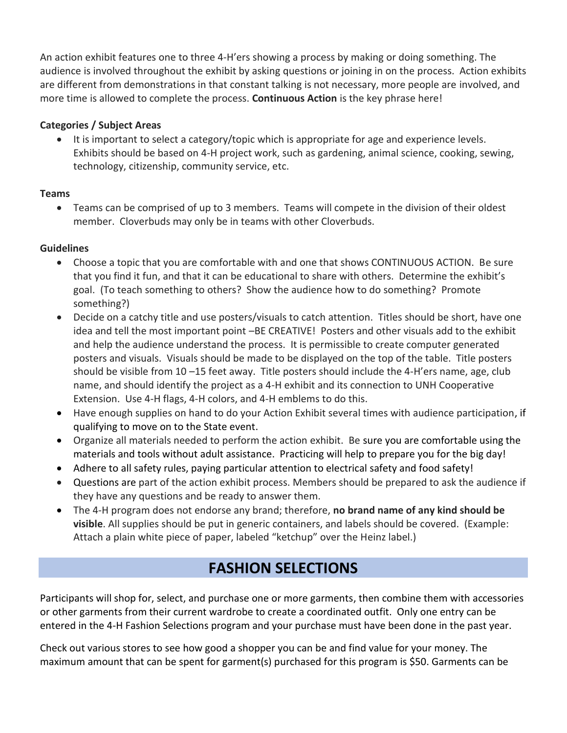An action exhibit features one to three 4-H'ers showing a process by making or doing something. The audience is involved throughout the exhibit by asking questions or joining in on the process. Action exhibits are different from demonstrations in that constant talking is not necessary, more people are involved, and more time is allowed to complete the process. **Continuous Action** is the key phrase here!

### **Categories / Subject Areas**

• It is important to select a category/topic which is appropriate for age and experience levels. Exhibits should be based on 4-H project work, such as gardening, animal science, cooking, sewing, technology, citizenship, community service, etc.

### **Teams**

• Teams can be comprised of up to 3 members. Teams will compete in the division of their oldest member. Cloverbuds may only be in teams with other Cloverbuds.

### **Guidelines**

- Choose a topic that you are comfortable with and one that shows CONTINUOUS ACTION. Be sure that you find it fun, and that it can be educational to share with others. Determine the exhibit's goal. (To teach something to others? Show the audience how to do something? Promote something?)
- Decide on a catchy title and use posters/visuals to catch attention. Titles should be short, have one idea and tell the most important point –BE CREATIVE! Posters and other visuals add to the exhibit and help the audience understand the process. It is permissible to create computer generated posters and visuals. Visuals should be made to be displayed on the top of the table. Title posters should be visible from 10 –15 feet away. Title posters should include the 4-H'ers name, age, club name, and should identify the project as a 4-H exhibit and its connection to UNH Cooperative Extension. Use 4-H flags, 4-H colors, and 4-H emblems to do this.
- Have enough supplies on hand to do your Action Exhibit several times with audience participation, if qualifying to move on to the State event.
- Organize all materials needed to perform the action exhibit. Be sure you are comfortable using the materials and tools without adult assistance. Practicing will help to prepare you for the big day!
- Adhere to all safety rules, paying particular attention to electrical safety and food safety!
- Questions are part of the action exhibit process. Members should be prepared to ask the audience if they have any questions and be ready to answer them.
- The 4-H program does not endorse any brand; therefore, **no brand name of any kind should be visible**. All supplies should be put in generic containers, and labels should be covered. (Example: Attach a plain white piece of paper, labeled "ketchup" over the Heinz label.)

# **FASHION SELECTIONS**

Participants will shop for, select, and purchase one or more garments, then combine them with accessories or other garments from their current wardrobe to create a coordinated outfit. Only one entry can be entered in the 4-H Fashion Selections program and your purchase must have been done in the past year.

Check out various stores to see how good a shopper you can be and find value for your money. The maximum amount that can be spent for garment(s) purchased for this program is \$50. Garments can be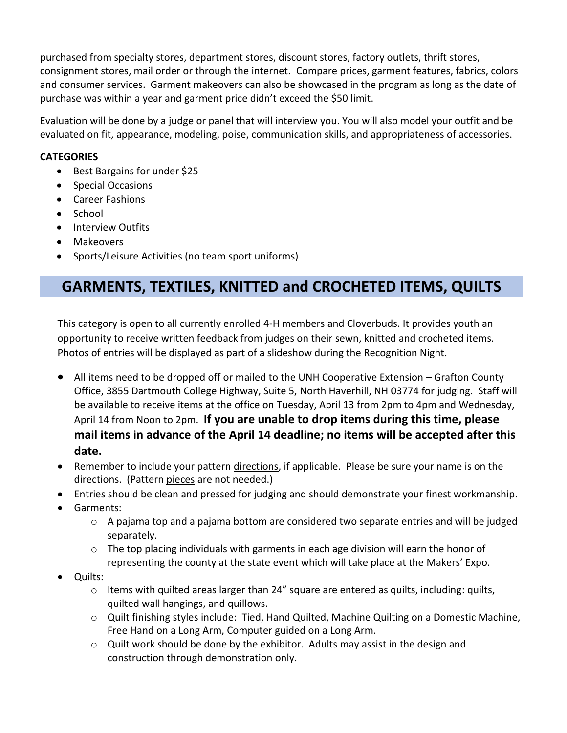purchased from specialty stores, department stores, discount stores, factory outlets, thrift stores, consignment stores, mail order or through the internet. Compare prices, garment features, fabrics, colors and consumer services. Garment makeovers can also be showcased in the program as long as the date of purchase was within a year and garment price didn't exceed the \$50 limit.

Evaluation will be done by a judge or panel that will interview you. You will also model your outfit and be evaluated on fit, appearance, modeling, poise, communication skills, and appropriateness of accessories.

### **CATEGORIES**

- Best Bargains for under \$25
- Special Occasions
- Career Fashions
- School
- Interview Outfits
- Makeovers
- Sports/Leisure Activities (no team sport uniforms)

# **GARMENTS, TEXTILES, KNITTED and CROCHETED ITEMS, QUILTS**

This category is open to all currently enrolled 4-H members and Cloverbuds. It provides youth an opportunity to receive written feedback from judges on their sewn, knitted and crocheted items. Photos of entries will be displayed as part of a slideshow during the Recognition Night.

- All items need to be dropped off or mailed to the UNH Cooperative Extension Grafton County Office, 3855 Dartmouth College Highway, Suite 5, North Haverhill, NH 03774 for judging. Staff will be available to receive items at the office on Tuesday, April 13 from 2pm to 4pm and Wednesday, April 14 from Noon to 2pm. **If you are unable to drop items during this time, please mail items in advance of the April 14 deadline; no items will be accepted after this date.**
- Remember to include your pattern directions, if applicable. Please be sure your name is on the directions. (Pattern pieces are not needed.)
- Entries should be clean and pressed for judging and should demonstrate your finest workmanship.
- Garments:
	- $\circ$  A pajama top and a pajama bottom are considered two separate entries and will be judged separately.
	- o The top placing individuals with garments in each age division will earn the honor of representing the county at the state event which will take place at the Makers' Expo.
- Quilts:
	- o Items with quilted areas larger than 24" square are entered as quilts, including: quilts, quilted wall hangings, and quillows.
	- o Quilt finishing styles include: Tied, Hand Quilted, Machine Quilting on a Domestic Machine, Free Hand on a Long Arm, Computer guided on a Long Arm.
	- o Quilt work should be done by the exhibitor. Adults may assist in the design and construction through demonstration only.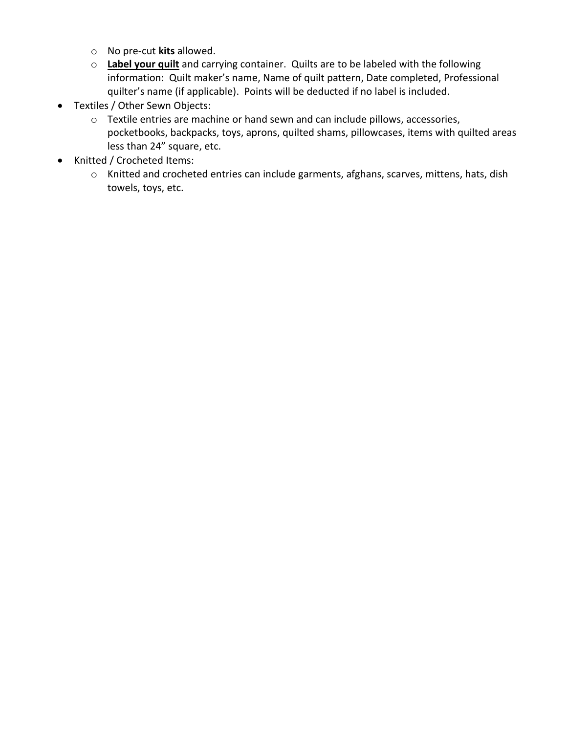- o No pre-cut **kits** allowed.
- o **Label your quilt** and carrying container. Quilts are to be labeled with the following information: Quilt maker's name, Name of quilt pattern, Date completed, Professional quilter's name (if applicable). Points will be deducted if no label is included.
- Textiles / Other Sewn Objects:
	- o Textile entries are machine or hand sewn and can include pillows, accessories, pocketbooks, backpacks, toys, aprons, quilted shams, pillowcases, items with quilted areas less than 24" square, etc.
- Knitted / Crocheted Items:
	- o Knitted and crocheted entries can include garments, afghans, scarves, mittens, hats, dish towels, toys, etc.